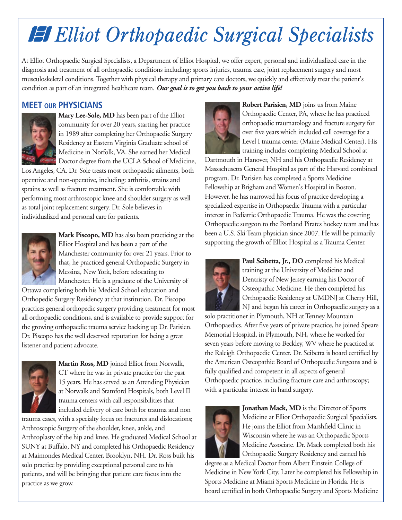## **Elliot Orthopaedic Surgical Specialists**

At Elliot Orthopaedic Surgical Specialists, a Department of Elliot Hospital, we offer expert, personal and individualized care in the diagnosis and treatment of all orthopaedic conditions including: sports injuries, trauma care, joint replacement surgery and most musculoskeletal conditions. Together with physical therapy and primary care doctors, we quickly and effectively treat the patient's condition as part of an integrated healthcare team. *Our goal is to get you back to your active life!*

## **MEET OUR PHYSICIANS**



**Mary Lee-Sole, MD** has been part of the Elliot community for over 20 years, starting her practice in 1989 after completing her Orthopaedic Surgery Residency at Eastern Virginia Graduate school of Medicine in Norfolk, VA. She earned her Medical **Doctor degree from the UCLA School of Medicine,** 

Los Angeles, CA. Dr. Sole treats most orthopaedic ailments, both operative and non-operative, including: arthritis, strains and sprains as well as fracture treatment. She is comfortable with performing most arthroscopic knee and shoulder surgery as well as total joint replacement surgery. Dr. Sole believes in individualized and personal care for patients.



**Mark Piscopo, MD** has also been practicing at the Elliot Hospital and has been a part of the Manchester community for over 21 years. Prior to that, he practiced general Orthopaedic Surgery in Messina, New York, before relocating to Manchester. He is a graduate of the University of

Ottawa completing both his Medical School education and Orthopedic Surgery Residency at that institution. Dr. Piscopo practices general orthopedic surgery providing treatment for most all orthopaedic conditions, and is available to provide support for the growing orthopaedic trauma service backing up Dr. Parisien. Dr. Piscopo has the well deserved reputation for being a great listener and patient advocate.



**Martin Ross, MD** joined Elliot from Norwalk, CT where he was in private practice for the past 15 years. He has served as an Attending Physician at Norwalk and Stamford Hospitals, both Level II trauma centers with call responsibilities that included delivery of care both for trauma and non

trauma cases, with a specialty focus on fractures and dislocations; Arthroscopic Surgery of the shoulder, knee, ankle, and Arthroplasty of the hip and knee. He graduated Medical School at SUNY at Buffalo, NY and completed his Orthopaedic Residency at Maimondes Medical Center, Brooklyn, NH. Dr. Ross built his solo practice by providing exceptional personal care to his patients, and will be bringing that patient care focus into the practice as we grow.



**Robert Parisien, MD** joins us from Maine Orthopaedic Center, PA, where he has practiced orthopaedic traumatology and fracture surgery for over five years which included call coverage for a Level I trauma center (Maine Medical Center). His training includes completing Medical School at

Dartmouth in Hanover, NH and his Orthopaedic Residency at Massachusetts General Hospital as part of the Harvard combined program. Dr. Parisien has completed a Sports Medicine Fellowship at Brigham and Women's Hospital in Boston. However, he has narrowed his focus of practice developing a specialized expertise in Orthopaedic Trauma with a particular interest in Pediatric Orthopaedic Trauma. He was the covering Orthopaedic surgeon to the Portland Pirates hockey team and has been a U.S. Ski Team physician since 2007. He will be primarily supporting the growth of Elliot Hospital as a Trauma Center.



Paul Scibetta, Jr., DO completed his Medical training at the University of Medicine and Dentristy of New Jersey earning his Doctor of Osteopathic Medicine. He then completed his Orthopaedic Residency at UMDNJ at Cherry Hill, NJ and began his career in Orthopaedic surgery as a

solo practitioner in Plymouth, NH at Tenney Mountain Orthopaedics. After five years of private practice, he joined Speare Memorial Hospital, in Plymouth, NH, where he worked for seven years before moving to Beckley, WV where he practiced at the Raleigh Orthopaedic Center. Dr. Scibetta is board certified by the American Osteopathic Board of Orthopaedic Surgeons and is fully qualified and competent in all aspects of general Orthopaedic practice, including fracture care and arthroscopy; with a particular interest in hand surgery.



**Jonathan Mack, MD** is the Director of Sports Medicine at Elliot Orthopaedic Surgical Specialists. He joins the Elliot from Marshfield Clinic in Wisconsin where he was an Orthopaedic Sports Medicine Associate. Dr. Mack completed both his Orthopaedic Surgery Residency and earned his

degree as a Medical Doctor from Albert Einstein College of Medicine in New York City. Later he completed his Fellowship in Sports Medicine at Miami Sports Medicine in Florida. He is board certified in both Orthopaedic Surgery and Sports Medicine